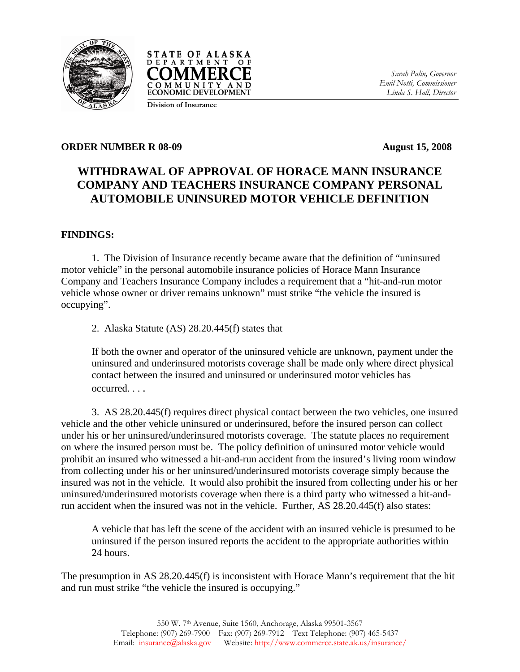



*Sarah Palin, Governor Emil Notti, Commissioner Linda S. Hall, Director* 

**Division of Insurance**

## **ORDER NUMBER R 08-09 August 15, 2008**

## **WITHDRAWAL OF APPROVAL OF HORACE MANN INSURANCE COMPANY AND TEACHERS INSURANCE COMPANY PERSONAL AUTOMOBILE UNINSURED MOTOR VEHICLE DEFINITION**

## **FINDINGS:**

 1. The Division of Insurance recently became aware that the definition of "uninsured motor vehicle" in the personal automobile insurance policies of Horace Mann Insurance Company and Teachers Insurance Company includes a requirement that a "hit-and-run motor vehicle whose owner or driver remains unknown" must strike "the vehicle the insured is occupying".

2. Alaska Statute (AS) 28.20.445(f) states that

If both the owner and operator of the uninsured vehicle are unknown, payment under the uninsured and underinsured motorists coverage shall be made only where direct physical contact between the insured and uninsured or underinsured motor vehicles has occurred. . . .

 3. AS 28.20.445(f) requires direct physical contact between the two vehicles, one insured vehicle and the other vehicle uninsured or underinsured, before the insured person can collect under his or her uninsured/underinsured motorists coverage. The statute places no requirement on where the insured person must be. The policy definition of uninsured motor vehicle would prohibit an insured who witnessed a hit-and-run accident from the insured's living room window from collecting under his or her uninsured/underinsured motorists coverage simply because the insured was not in the vehicle. It would also prohibit the insured from collecting under his or her uninsured/underinsured motorists coverage when there is a third party who witnessed a hit-andrun accident when the insured was not in the vehicle. Further, AS 28.20.445(f) also states:

A vehicle that has left the scene of the accident with an insured vehicle is presumed to be uninsured if the person insured reports the accident to the appropriate authorities within 24 hours.

The presumption in AS 28.20.445(f) is inconsistent with Horace Mann's requirement that the hit and run must strike "the vehicle the insured is occupying."